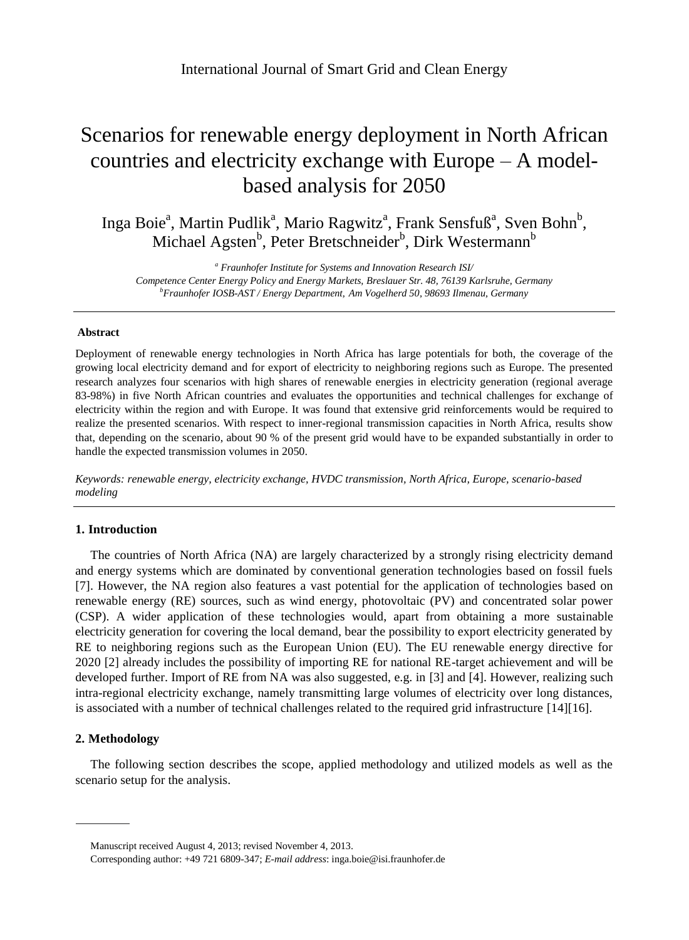# Scenarios for renewable energy deployment in North African countries and electricity exchange with Europe – A modelbased analysis for 2050

Inga Boie<sup>a</sup>, Martin Pudlik<sup>a</sup>, Mario Ragwitz<sup>a</sup>, Frank Sensfuß<sup>a</sup>, Sven Bohn<sup>b</sup>, Michael Agsten<sup>b</sup>, Peter Bretschneider<sup>b</sup>, Dirk Westermann<sup>b</sup>

*<sup>a</sup> Fraunhofer Institute for Systems and Innovation Research ISI/ Competence Center Energy Policy and Energy Markets, Breslauer Str. 48, 76139 Karlsruhe, Germany <sup>b</sup>Fraunhofer IOSB-AST / Energy Department, Am Vogelherd 50, 98693 Ilmenau, Germany*

## **Abstract**

Deployment of renewable energy technologies in North Africa has large potentials for both, the coverage of the growing local electricity demand and for export of electricity to neighboring regions such as Europe. The presented research analyzes four scenarios with high shares of renewable energies in electricity generation (regional average 83-98%) in five North African countries and evaluates the opportunities and technical challenges for exchange of electricity within the region and with Europe. It was found that extensive grid reinforcements would be required to realize the presented scenarios. With respect to inner-regional transmission capacities in North Africa, results show that, depending on the scenario, about 90 % of the present grid would have to be expanded substantially in order to handle the expected transmission volumes in 2050.

*Keywords: renewable energy, electricity exchange, HVDC transmission, North Africa, Europe, scenario-based modeling*

# **1. Introduction**

The countries of North Africa (NA) are largely characterized by a strongly rising electricity demand and energy systems which are dominated by conventional generation technologies based on fossil fuels [\[7\].](#page-6-0) However, the NA region also features a vast potential for the application of technologies based on renewable energy (RE) sources, such as wind energy, photovoltaic (PV) and concentrated solar power (CSP). A wider application of these technologies would, apart from obtaining a more sustainable electricity generation for covering the local demand, bear the possibility to export electricity generated by RE to neighboring regions such as the European Union (EU). The EU renewable energy directive for 2020 [\[2\]](#page-6-1) already includes the possibility of importing RE for national RE-target achievement and will be developed further. Import of RE from NA was also suggested, e.g. in [\[3\]](#page-6-2) and [\[4\].](#page-6-3) However, realizing such intra-regional electricity exchange, namely transmitting large volumes of electricity over long distances, is associated with a number of technical challenges related to the required grid infrastructure [\[14\]\[16\].](#page-6-4)

# **2. Methodology**

The following section describes the scope, applied methodology and utilized models as well as the scenario setup for the analysis.

Manuscript received August 4, 2013; revised November 4, 2013.

Corresponding author: +49 721 6809-347; *E-mail address*: inga.boie@isi.fraunhofer.de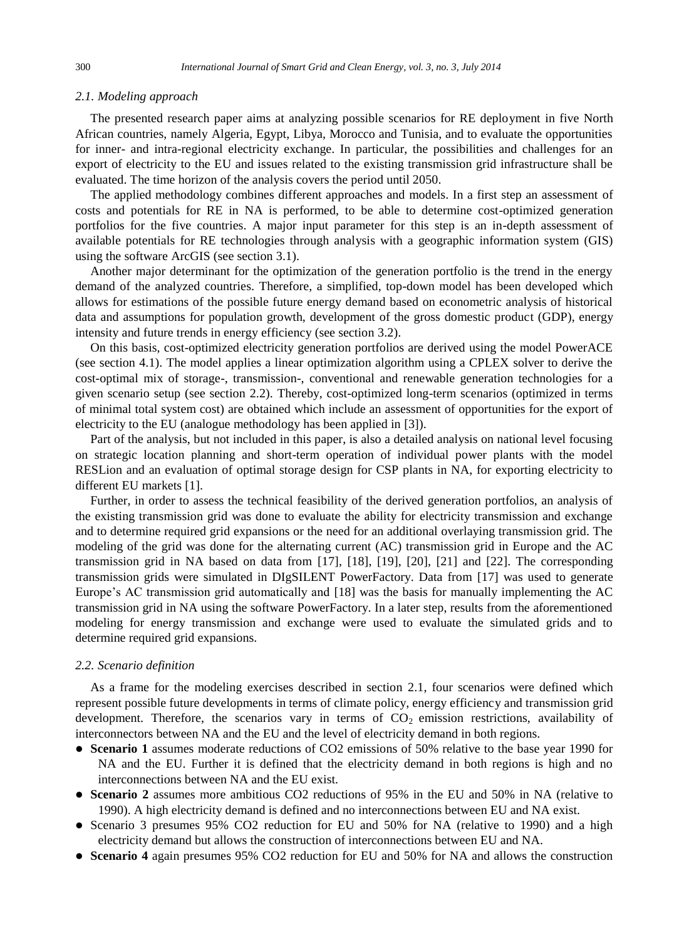### <span id="page-1-1"></span>*2.1. Modeling approach*

The presented research paper aims at analyzing possible scenarios for RE deployment in five North African countries, namely Algeria, Egypt, Libya, Morocco and Tunisia, and to evaluate the opportunities for inner- and intra-regional electricity exchange. In particular, the possibilities and challenges for an export of electricity to the EU and issues related to the existing transmission grid infrastructure shall be evaluated. The time horizon of the analysis covers the period until 2050.

The applied methodology combines different approaches and models. In a first step an assessment of costs and potentials for RE in NA is performed, to be able to determine cost-optimized generation portfolios for the five countries. A major input parameter for this step is an in-depth assessment of available potentials for RE technologies through analysis with a geographic information system (GIS) using the software ArcGIS (see section [3.1\)](#page-2-0).

Another major determinant for the optimization of the generation portfolio is the trend in the energy demand of the analyzed countries. Therefore, a simplified, top-down model has been developed which allows for estimations of the possible future energy demand based on econometric analysis of historical data and assumptions for population growth, development of the gross domestic product (GDP), energy intensity and future trends in energy efficiency (see section [3.2\)](#page-3-0).

On this basis, cost-optimized electricity generation portfolios are derived using the model PowerACE (see section [4.1\)](#page-4-0). The model applies a linear optimization algorithm using a CPLEX solver to derive the cost-optimal mix of storage-, transmission-, conventional and renewable generation technologies for a given scenario setup (see section [2.2\)](#page-1-0). Thereby, cost-optimized long-term scenarios (optimized in terms of minimal total system cost) are obtained which include an assessment of opportunities for the export of electricity to the EU (analogue methodology has been applied in [\[3\]\)](#page-6-2).

Part of the analysis, but not included in this paper, is also a detailed analysis on national level focusing on strategic location planning and short-term operation of individual power plants with the model RESLion and an evaluation of optimal storage design for CSP plants in NA, for exporting electricity to different EU markets [\[1\].](#page-6-5)

Further, in order to assess the technical feasibility of the derived generation portfolios, an analysis of the existing transmission grid was done to evaluate the ability for electricity transmission and exchange and to determine required grid expansions or the need for an additional overlaying transmission grid. The modeling of the grid was done for the alternating current (AC) transmission grid in Europe and the AC transmission grid in NA based on data from [\[17\],](#page-6-6) [\[18\],](#page-6-7) [\[19\],](#page-6-8) [\[20\],](#page-6-9) [\[21\]](#page-6-10) and [22]. The corresponding transmission grids were simulated in DIgSILENT PowerFactory. Data from [\[17\]](#page-6-6) was used to generate Europe's AC transmission grid automatically and [\[18\]](#page-6-7) was the basis for manually implementing the AC transmission grid in NA using the software PowerFactory. In a later step, results from the aforementioned modeling for energy transmission and exchange were used to evaluate the simulated grids and to determine required grid expansions.

## <span id="page-1-0"></span>*2.2. Scenario definition*

As a frame for the modeling exercises described in section [2.1,](#page-1-1) four scenarios were defined which represent possible future developments in terms of climate policy, energy efficiency and transmission grid development. Therefore, the scenarios vary in terms of  $CO<sub>2</sub>$  emission restrictions, availability of interconnectors between NA and the EU and the level of electricity demand in both regions.

- **Scenario 1** assumes moderate reductions of CO2 emissions of 50% relative to the base year 1990 for NA and the EU. Further it is defined that the electricity demand in both regions is high and no interconnections between NA and the EU exist.
- **Scenario 2** assumes more ambitious CO2 reductions of 95% in the EU and 50% in NA (relative to 1990). A high electricity demand is defined and no interconnections between EU and NA exist.
- Scenario 3 presumes 95% CO2 reduction for EU and 50% for NA (relative to 1990) and a high electricity demand but allows the construction of interconnections between EU and NA.
- **Scenario 4** again presumes 95% CO2 reduction for EU and 50% for NA and allows the construction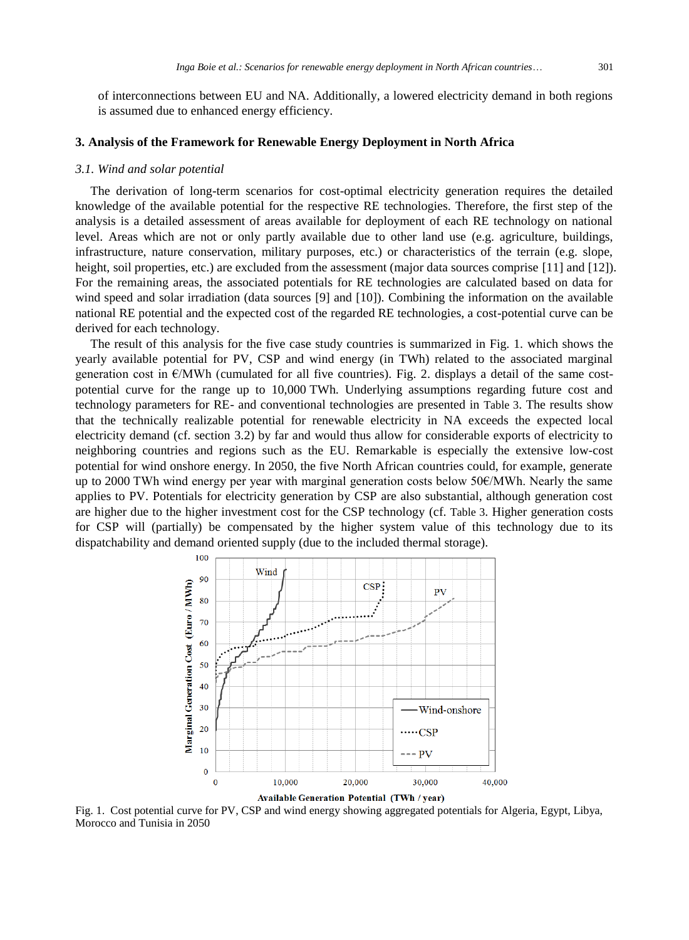of interconnections between EU and NA. Additionally, a lowered electricity demand in both regions is assumed due to enhanced energy efficiency.

# **3. Analysis of the Framework for Renewable Energy Deployment in North Africa**

#### <span id="page-2-0"></span>*3.1. Wind and solar potential*

The derivation of long-term scenarios for cost-optimal electricity generation requires the detailed knowledge of the available potential for the respective RE technologies. Therefore, the first step of the analysis is a detailed assessment of areas available for deployment of each RE technology on national level. Areas which are not or only partly available due to other land use (e.g. agriculture, buildings, infrastructure, nature conservation, military purposes, etc.) or characteristics of the terrain (e.g. slope, height, soil properties, etc.) are excluded from the assessment (major data sources comprise [\[11\]](#page-6-11) and [\[12\]\)](#page-6-12). For the remaining areas, the associated potentials for RE technologies are calculated based on data for wind speed and solar irradiation (data sources [\[9\]](#page-6-13) and [\[10\]\)](#page-6-14). Combining the information on the available national RE potential and the expected cost of the regarded RE technologies, a cost-potential curve can be derived for each technology.

The result of this analysis for the five case study countries is summarized in Fig. 1. which shows the yearly available potential for PV, CSP and wind energy (in TWh) related to the associated marginal generation cost in  $\epsilon$ /MWh (cumulated for all five countries). Fig. 2. displays a detail of the same costpotential curve for the range up to 10,000 TWh. Underlying assumptions regarding future cost and technology parameters for RE- and conventional technologies are presented in [Table 3](#page-7-0). The results show that the technically realizable potential for renewable electricity in NA exceeds the expected local electricity demand (cf. section [3.2\)](#page-3-0) by far and would thus allow for considerable exports of electricity to neighboring countries and regions such as the EU. Remarkable is especially the extensive low-cost potential for wind onshore energy. In 2050, the five North African countries could, for example, generate up to 2000 TWh wind energy per year with marginal generation costs below 50€/MWh. Nearly the same applies to PV. Potentials for electricity generation by CSP are also substantial, although generation cost are higher due to the higher investment cost for the CSP technology (cf. [Table 3](#page-7-0). Higher generation costs for CSP will (partially) be compensated by the higher system value of this technology due to its dispatchability and demand oriented supply (due to the included thermal storage).



Fig. 1. Cost potential curve for PV, CSP and wind energy showing aggregated potentials for Algeria, Egypt, Libya, Morocco and Tunisia in 2050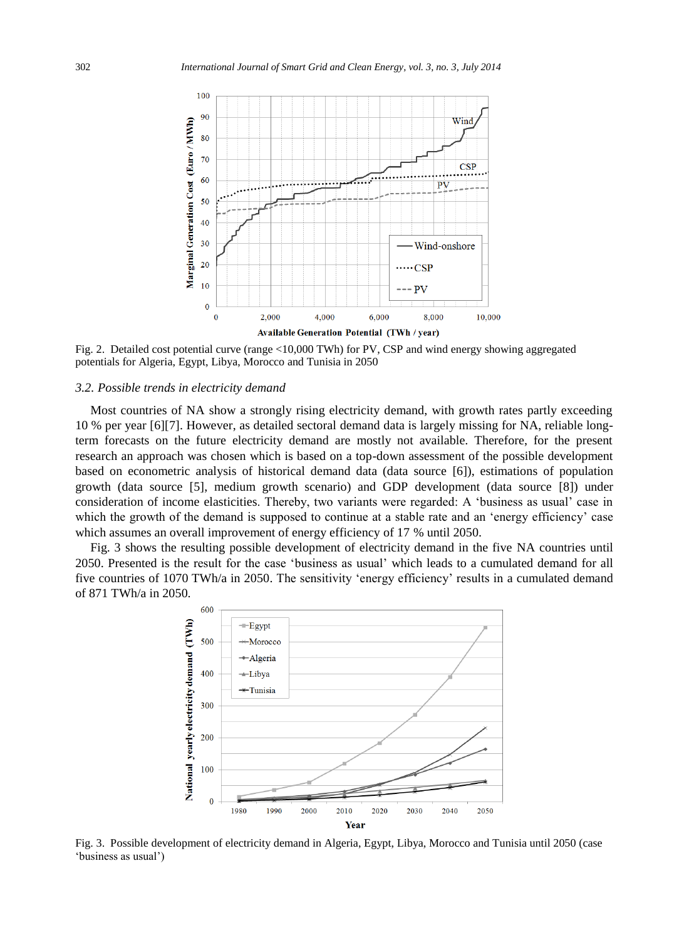

<span id="page-3-0"></span>Fig. 2. Detaile[d cost po](#page-6-15)tential curve (range <10,000 TWh) for PV, CSP and wind energy showing aggregated potentials for Algeria, Egypt, Libya, Morocco and Tunisia in 2050

## *3.2. Possible trends in electricity demand*

Most countries of [NA](#page-6-16) show a strongly rising electricity demand, with growth rates partl[y exc](#page-6-17)eeding 10 % per year [6][7]. However, as detailed sectoral demand data is largely missing for NA, reliable longterm forecasts on the future electricity demand are mostly not available. Therefore, for the present research an approach was chosen which is based on a top-down assessment of the possible development based on econometric analysis of historical demand data (data source [6]), estimations of population growth (data source [5], medium growth scenario) and GDP development (data source [8]) under consideration of income elasticities. Thereby, two variants were regarded: A "business as usual" case in which the growth of the demand is supposed to continue at a stable rate and an 'energy efficiency' case which assumes an overall improvement of energy efficiency of 17 % until 2050.

Fig. 3 shows the resulting possible development of electricity demand in the five NA countries until 2050. Presented is the result for the case "business as usual" which leads to a cumulated demand for all five countries of 1070 TWh/a in 2050. The sensitivity "energy efficiency" results in a cumulated demand of 871 TWh/a in 2050.



[Fig. 3](#page-6-8)[. Poss](#page-6-9)ible [develo](#page-6-10)pment of electricity demand in Algeria, Egypt, Libya, Morocco and Tunisia until 2050 (case "business as usual")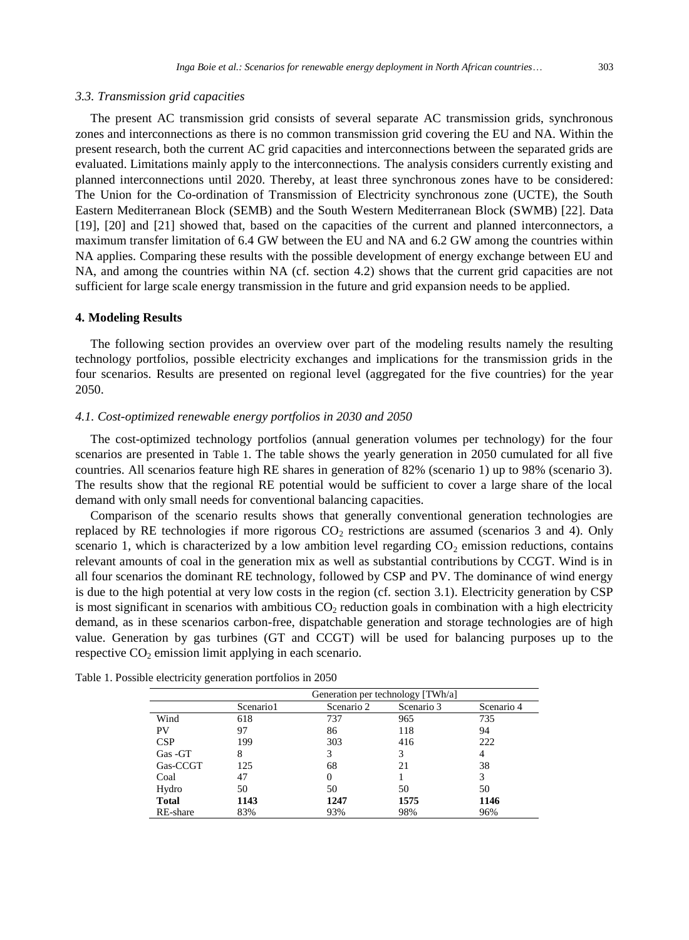#### *3.3. Transmission grid capacities*

The present AC transmission grid consists of se[veral](#page-4-1) separate AC transmission grids, synchronous zones and interconnections as there is no common transmission grid covering the EU and NA. Within the present research, both the current AC grid capacities and interconnections between the separated grids are evaluated. Limitations mainly apply to the interconnections. The analysis considers currently existing and planned interconnections until 2020. Thereby, at least three synchronous zones have to be considered: The Union for the Co-ordination of Transmission of Electricity synchronous zone (UCTE), the South Eastern Mediterranean Block (SEMB) and the South Western Mediterranean Block (SWMB) [22]. Data [19], [20] and [21] showed that, based on the capacities of the current and planned interconnectors, a maximum transfer limitation of 6.4 GW between the EU and NA and 6.2 GW among the countries within NA applies. Comparing these results with the possible development of energy exchange between EU and NA, and among the countries within NA (cf. section 4.2) shows that the current grid capacities are not sufficient for large scale energy transmission in the future and grid expansion needs to be applied.

#### <span id="page-4-0"></span>**4. Modeling Results**

The following section provides an overview over part of the modeling results namely the resulting technology portfolios, possible electricity exchanges and implications for the transmission grids in the four scenarios. Results are presented on regional level (aggregated for the five countries) for the year 2050.

## *4.1. Cost-optimized renewable energy portfolios in 2030 and 2050*

The cost-optimized technology portfolios (annual generation volumes per technology) for the four scenarios are presented in Table 1. The table shows the yearly gener[ation](#page-2-0) in 2050 cumulated for all five countries. All scenarios feature high RE shares in generation of 82% (scenario 1) up to 98% (scenario 3). The results show that the regional RE potential would be sufficient to cover a large share of the local demand with only small needs for conventional balancing capacities.

Comparison of the scenario results shows that generally conventional generation technologies are replaced by RE technologies if more rigorous  $CO<sub>2</sub>$  restrictions are assumed (scenarios 3 and 4). Only scenario 1, which is characterized by a low ambition level regarding  $CO<sub>2</sub>$  emission reductions, contains relevant amounts of coal in the generation mix as well as substantial contributions by CCGT. Wind is in all four scenarios the dominant RE technology, followed by CSP and PV. The dominance of wind energy is due to the high potential at very low costs in the region (cf. section 3.1). Electricity generation by CSP is most significant in scenarios with ambitious  $CO<sub>2</sub>$  reduction goals in combination with a high electricity demand, as in these scenarios carbon-free, dispatchable generation and storage technologies are of high value. Generation by gas turbines (GT and CCGT) will be used for balancing purposes up to the respective  $CO<sub>2</sub>$  emission limit applying in each scenario.

|              | Generation per technology [TWh/a] |            |            |            |  |
|--------------|-----------------------------------|------------|------------|------------|--|
|              | Scenario1                         | Scenario 2 | Scenario 3 | Scenario 4 |  |
| Wind         | 618                               | 737        | 965        | 735        |  |
| PV           | 97                                | 86         | 118        | 94         |  |
| CSP          | 199                               | 303        | 416        | 222        |  |
| Gas - GT     | 8                                 | 3          | 3          | 4          |  |
| Gas-CCGT     | 125                               | 68         | 21         | 38         |  |
| Coal         | 47                                |            |            | 3          |  |
| Hydro        | 50                                | 50         | 50         | 50         |  |
| <b>Total</b> | 1143                              | 1247       | 1575       | 1146       |  |
| RE-share     | 83%                               | 93%        | 98%        | 96%        |  |

<span id="page-4-1"></span>Table 1. Possible electricity generation portfolios in 2050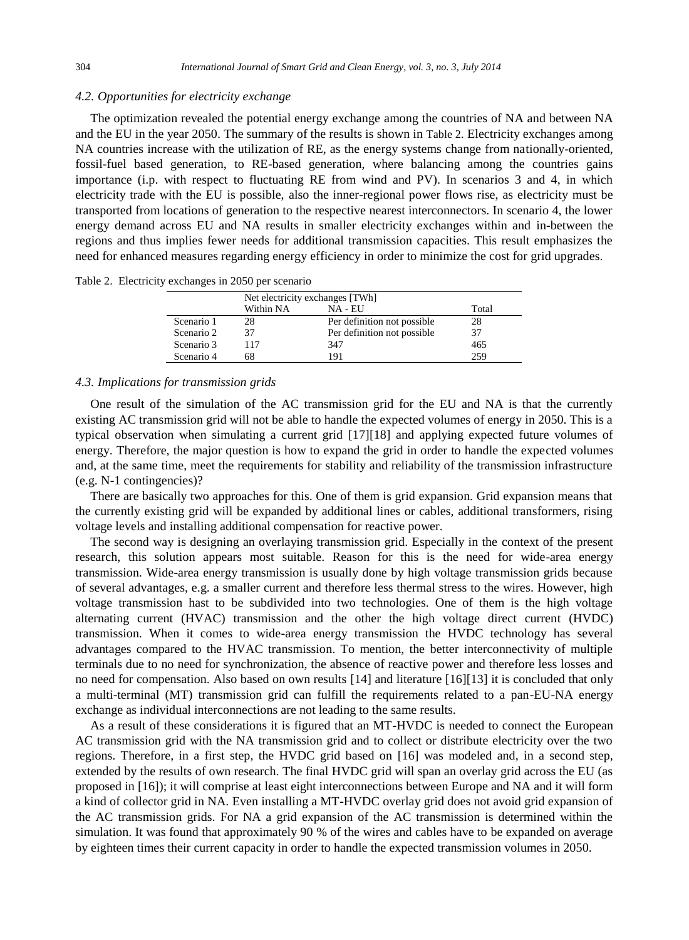## *4.2. Opportunities for electricity exchange*

The optimization revealed the potential energy exchange among the countries of NA and between NA and the EU in the year 2050. The summary of the results is shown in Table 2. Electricity exchanges among NA countries increase with the utilization of RE, as the energy systems change from nationally-oriented, fossil-fuel based generation, to RE-based generation, where balancing among the countries gains importance (i.p. with respect to fluctuating RE from wind and PV). In scenarios 3 and 4, in which electricity trade with the EU is possible, also the inner-regional power flows rise, as electricity must be transported from locations of generation to the respective nearest interconnectors. In scenario 4, the lower energy demand across EU and NA results in smaller electricity exchanges within and in-between the regions and thus implies fewer needs for additional transmission capacities. This result emphasizes the need for enhanced measures regarding energy efficie[ncy in ord](#page-6-6)er to minimize the cost for grid upgrades.

| Table 2. Electricity exchanges in 2050 per scenario |  |  |  |
|-----------------------------------------------------|--|--|--|
|                                                     |  |  |  |

|            | Net electricity exchanges [TWh] |                             |       |  |
|------------|---------------------------------|-----------------------------|-------|--|
|            | Within NA                       | NA - EU                     | Total |  |
| Scenario 1 | 28                              | Per definition not possible | 28    |  |
| Scenario 2 | 37                              | Per definition not possible | 37    |  |
| Scenario 3 | 117                             | 347                         | 465   |  |
| Scenario 4 | 68                              | 191                         | 259   |  |

#### *4.3. Implications for transmission grids*

One result of the simulation of the AC transmission grid for the EU and NA is that the currently existing AC transmission grid will not be able to handle the expected volumes of energy in 2050. This is a typical observation when simulating a current grid [17][18] and applying expected future volumes of energy. Therefore, the major question is how to expand the grid in order to handle the expected volumes and, at the same time, meet the requirements for stability and reliability of the transmission infrastructure (e.g. N-1 contingencies)?

There are basically two approaches for this. One o[f them](#page-6-4) is grid expa[nsion. Gri](#page-6-18)d expansion means that the currently existing grid will be expanded by additional lines or cables, additional transformers, rising voltage levels and installing additional compensation for reactive power.

The second way is designing an overlaying transmission grid. Especially in the context of the present research, this solution appears most suitable. Reason for this is the need for wide-area energy transmission. Wide-area energy transmission is usually done [by hig](#page-6-18)h voltage transmission grids because of several advantages, e.g. a smaller current and therefore less thermal stress to the wires. However, high voltage tra[nsmiss](#page-6-18)ion hast to be subdivided into two technologies. One of them is the high voltage alternating current (HVAC) transmission and the other the high voltage direct current (HVDC) transmission. When it comes to wide-area energy transmission the HVDC technology has several advantages compared to the HVAC transmission. To mention, the better interconnectivity of multiple terminals due to no need for synchronization, the absence of reactive power and therefore less losses and no need for compensation. Also based on own results [14] and literature [16][13] it is concluded that only a multi-terminal (MT) transmission grid can fulfill the requirements related to a pan-EU-NA energy exchange as individual interconnections are not leading to the same results.

As a result of these considerations it is figured that an MT-HVDC is needed to connect the European AC transmission grid with the NA transmission grid and to collect or distribute electricity over the two regions. Therefore, in a first step, the HVDC grid based on [16] was modeled and, in a second step, extended by the results of own research. The final HVDC grid will span an overlay grid across the EU (as proposed in [16]); it will comprise at least eight interconnections between Europe and NA and it will form a kind of collector grid in NA. Even installing a MT-HVDC overlay grid does not avoid grid expansion of the AC transmission grids. For NA a grid expansion of the AC transmission is determined within the simulation. It was found that approximately 90 % of the wires and cables have to be expanded on average by eighteen times their current capacity in order to handle the expected transmission volumes in 2050.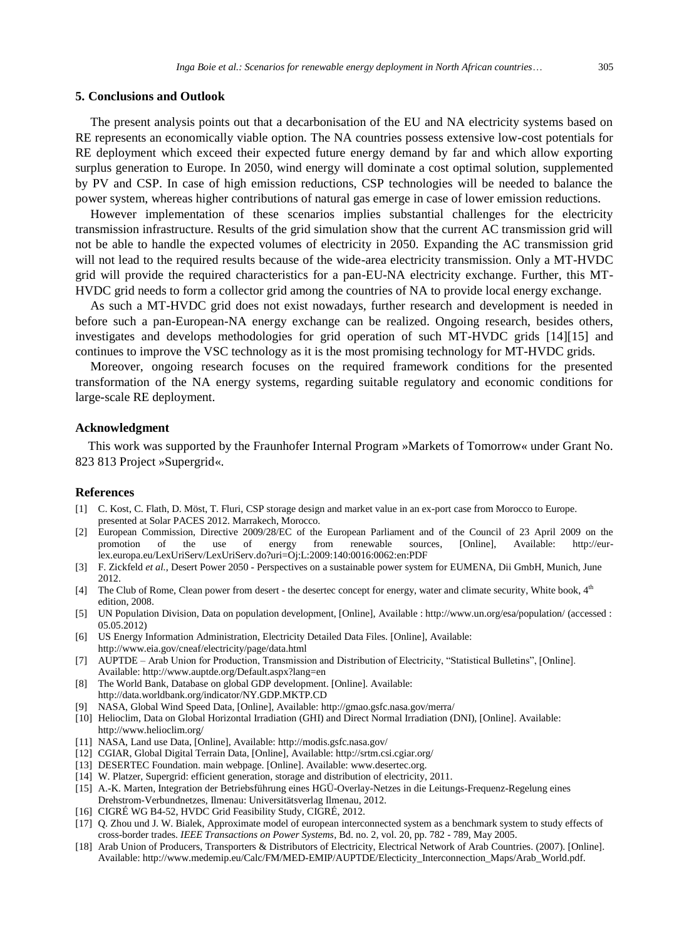## **5. Conclusions and Outlook**

The present analysis points out that a decarbonisation of the EU and NA electricity systems based on RE represents an economically viable option. The NA countries possess extensive low-cost potentials for RE deployment which exceed their expected future energy demand by far and which all[ow expor](#page-6-4)ting surplus generation to Europe. In 2050, wind energy will dominate a cost optimal solution, supplemented by PV and CSP. In case of high emission reductions, CSP technologies will be needed to balance the power system, whereas higher contributions of natural gas emerge in case of lower emission reductions.

However implementation of these scenarios implies substantial challenges for the electricity transmission infrastructure. Results of the grid simulation show that the current AC transmission grid will not be able to handle the expected volumes of electricity in 2050. Expanding the AC transmission grid will not lead to the required results because of the wide-area electricity transmission. Only a MT-HVDC grid will provide the required characteristics for a pan-EU-NA electricity exchange. Further, this MT-HVDC grid needs to form a collector grid among the countries of NA to provide local energy exchange.

<span id="page-6-5"></span>As such a MT-HVDC grid does not exist nowadays, further research and development is needed in before such a pan-European-NA energy exchange can be realized. Ongoing research, besides others, investigates and develops methodologies for grid operation of such MT-HVDC grids [14][15] and continues to improve the VSC technology as it is the most promising technology for MT-HVDC grids.

<span id="page-6-2"></span><span id="page-6-1"></span>Moreover, ongoing research focuses on the required framework conditions for the presented transformation of the NA energy systems, regarding suitable regulatory and economic conditions for large-scale RE deployment.

#### <span id="page-6-16"></span><span id="page-6-3"></span>**Acknowledgment**

<span id="page-6-15"></span>This work was supported by the Fraunhofer Internal Program »Markets of Tomorrow« under Grant No. 823 813 Project »Supergrid«.

## <span id="page-6-0"></span>**References**

- <span id="page-6-17"></span>[1] C. Kost, C. Flath, D. Möst, T. Fluri, CSP storage design and market value in an ex-port case from Morocco to Europe. presented at Solar PACES 2012. Marrakech, Morocco.
- <span id="page-6-14"></span><span id="page-6-13"></span>[2] European Commission, Directive 2009/28/EC of the European Parliament and of the Council of 23 April 2009 on the promotion of the use of energy from renewable sources, [Online], Available: http://eurlex.europa.eu/LexUriServ/LexUriServ.do?uri=Oj:L:2009:140:0016:0062:en:PDF
- <span id="page-6-12"></span><span id="page-6-11"></span>[3] F. Zickfeld *et al.*, Desert Power 2050 - Pers[pectives on a sustainable pow](http://modis.gsfc.nasa.gov/)er system for EUMENA, Dii GmbH, Munich, June 2012.
- <span id="page-6-4"></span>[4] The Club of Rome, Clean power from desert - the desertec concept for energy, water and climate security, White book, 4<sup>th</sup> edition, 2008.
- [5] UN Population Division, Data on population development, [Online], Available : http://www.un.org/esa/population/ (accessed : 05.05.2012)
- <span id="page-6-18"></span><span id="page-6-6"></span>[6] US Energy Information Administration, Electricity Detailed Data Files. [Online], Available: http://www.eia.gov/cneaf/electricity/page/data.html
- <span id="page-6-7"></span>[7] AUPTDE – Arab Union for Production, Transmission and Distribution of Electricity, "Statistical Bulletins", [Online]. Available: http://www.auptde.org/Default.aspx?lang=en
- [8] The World Bank, Database on global GDP development. [Online]. Available: http://data.worldbank.org/indicator/NY.GDP.MKTP.CD
- <span id="page-6-8"></span>[9] NASA, Global Wind Speed Data, [Online], Available: http://gmao.gsfc.nasa.gov/merra/
- <span id="page-6-9"></span>[10] Helioclim, Data on Global Horizontal Irradiation (GHI) and Direct Normal Irradiation (DNI), [Online]. Available: http://www.helioclim.org/
- <span id="page-6-10"></span>[11] NASA, Land use Data, [Online], Available: http://modis.gsfc.nasa.gov/
- [12] CGIAR, Global Digital Terrain Data, [Online], Available: http://srtm.csi.cgiar.org/
- [13] DESERTEC Foundation. main webpage. [Online]. Available: www.desertec.org.
- [14] W. Platzer, Supergrid: efficient generation, storage and distribution of electricity, 2011.
- [15] A.-K. Marten, Integration der Betriebsführung eines HGÜ-Overlay-Netzes in die Leitungs-Frequenz-Regelung eines Drehstrom-Verbundnetzes, Ilmenau: Universitätsverlag Ilmenau, 2012.
- [16] CIGRÉ WG B4-52, HVDC Grid Feasibility Study, CIGRÉ, 2012.
- [17] [Q. Zho](#page-7-0)u und J. W. Bialek, Approximate model of european interconnected system as a benchmark system to study effects of cross-border trades. *IEEE Transactions on Power Systems*, Bd. no. 2, vol. 20, pp. 782 - 789, May 2005.
- [18] Arab Union of Producers, Transporters & Distributors of Electricity, Electrical Network of Arab Countries. (2007). [Online]. Available: http://www.medemip.eu/Calc/FM/MED-EMIP/AUPTDE/Electicity\_Interconnection\_Maps/Arab\_World.pdf.